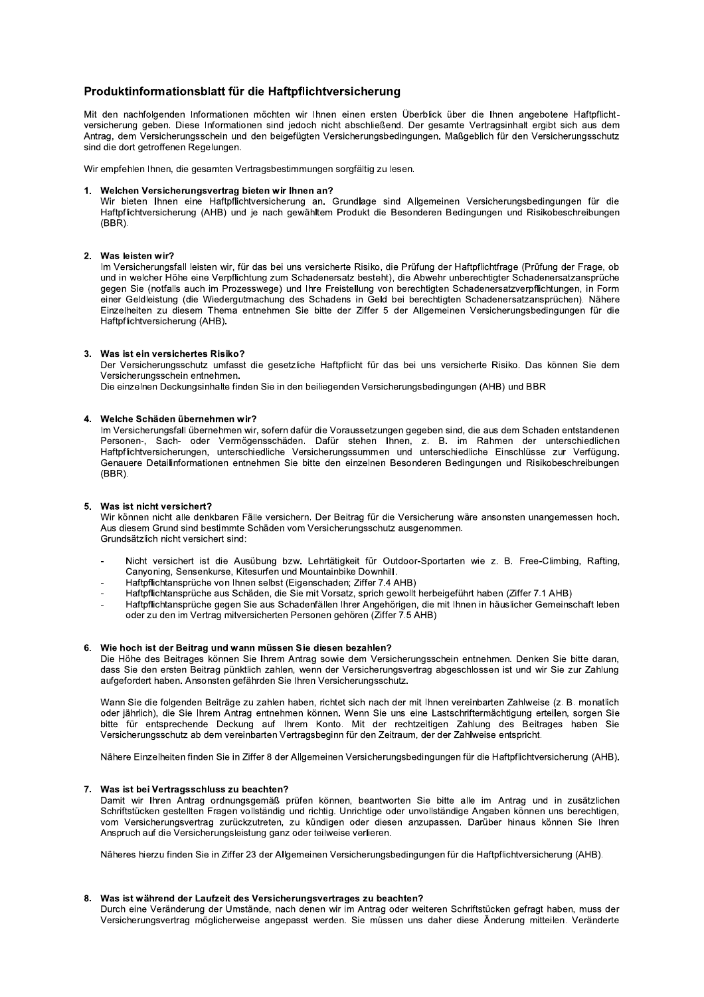# Produktinformationsblatt für die Haftpflichtversicherung

Mit den nachfolgenden Informationen möchten wir Ihnen einen ersten Überblick über die Ihnen angebotene Haftpflichtversicherung geben. Diese Informationen sind jedoch nicht abschließend. Der gesamte Vertragsinhalt ergibt sich aus dem Antrag, dem Versicherungsschein und den beigefügten Versicherungsbedingungen. Maßgeblich für den Versicherungsschutz sind die dort getroffenen Regelungen.

Wir empfehlen Ihnen, die gesamten Vertragsbestimmungen sorgfältig zu lesen.

# 1. Welchen Versicherungsvertrag bieten wir Ihnen an?

Wir bieten Ihnen eine Haftpflichtversicherung an. Grundlage sind Allgemeinen Versicherungsbedingungen für die Haftpflichtversicherung (AHB) und je nach gewähltem Produkt die Besonderen Bedingungen und Risikobeschreibungen  $(BBR)$ .

# 2. Was leisten wir?

Im Versicherungsfall leisten wir, für das bei uns versicherte Risiko, die Prüfung der Haftpflichtfrage (Prüfung der Frage, ob und in welcher Höhe eine Verpflichtung zum Schadenersatz besteht), die Abwehr unberechtigter Schadenersatzansprüche gegen Sie (notfalls auch im Prozesswege) und Ihre Freistellung von berechtigten Schadenersatzverpflichtungen, in Form einer Geldleistung (die Wiedergutmachung des Schadens in Geld bei berechtigten Schadenersatzansprüchen). Nähere Einzelheiten zu diesem Thema entnehmen Sie bitte der Ziffer 5 der Allgemeinen Versicherungsbedingungen für die Haftpflichtversicherung (AHB).

# 3. Was ist ein versichertes Risiko?

Der Versicherungsschutz umfasst die gesetzliche Haftpflicht für das bei uns versicherte Risiko. Das können Sie dem Versicherungsschein entnehmen.

Die einzelnen Deckungsinhalte finden Sie in den beiliegenden Versicherungsbedingungen (AHB) und BBR

### 4. Welche Schäden übernehmen wir?

Im Versicherungsfall übernehmen wir, sofern dafür die Voraussetzungen gegeben sind, die aus dem Schaden entstandenen Personen-, Sach- oder Vermögensschäden. Dafür stehen Ihnen, z. B. im Rahmen der unterschiedlichen Haftpflichtversicherungen, unterschiedliche Versicherungssummen und unterschiedliche Einschlüsse zur Verfügung. Genauere Detailinformationen entnehmen Sie bitte den einzelnen Besonderen Bedingungen und Risikobeschreibungen  $(BBR)$ .

#### $5<sup>1</sup>$ Was ist nicht versichert?

Wir können nicht alle denkbaren Fälle versichern. Der Beitrag für die Versicherung wäre ansonsten unangemessen hoch. Aus diesem Grund sind bestimmte Schäden vom Versicherungsschutz ausgenommen. Grundsätzlich nicht versichert sind:

- Nicht versichert ist die Ausübung bzw. Lehrtätigkeit für Outdoor-Sportarten wie z. B. Free-Climbing, Rafting, Canyoning, Sensenkurse, Kitesurfen und Mountainbike Downhill.
- Haftpflichtansprüche von Ihnen selbst (Eigenschaden; Ziffer 7.4 AHB)
- Haftpflichtansprüche aus Schäden, die Sie mit Vorsatz, sprich gewollt herbeigeführt haben (Ziffer 7.1 AHB)
- Haftpflichtansprüche gegen Sie aus Schadenfällen Ihrer Angehörigen, die mit Ihnen in häuslicher Gemeinschaft leben oder zu den im Vertrag mitversicherten Personen gehören (Ziffer 7.5 AHB)

### 6. Wie hoch ist der Beitrag und wann müssen Sie diesen bezahlen?

Die Höhe des Beitrages können Sie Ihrem Antrag sowie dem Versicherungsschein entnehmen. Denken Sie bitte daran. dass Sie den ersten Beitrag pünktlich zahlen, wenn der Versicherungsvertrag abgeschlossen ist und wir Sie zur Zahlung aufgefordert haben. Ansonsten gefährden Sie Ihren Versicherungsschutz.

Wann Sie die folgenden Beiträge zu zahlen haben, richtet sich nach der mit Ihnen vereinbarten Zahlweise (z. B. monatlich oder jährlich), die Sie Ihrem Antrag entnehmen können. Wenn Sie uns eine Lastschriftermächtigung erteilen, sorgen Sie bitte für entsprechende Deckung auf Ihrem Konto. Mit der rechtzeitigen Zahlung des Beitrages haben Sie Versicherungsschutz ab dem vereinbarten Vertragsbeginn für den Zeitraum, der der Zahlweise entspricht.

Nähere Einzelheiten finden Sie in Ziffer 8 der Allgemeinen Versicherungsbedingungen für die Haftpflichtversicherung (AHB).

# 7. Was ist bei Vertragsschluss zu beachten?

Damit wir Ihren Antrag ordnungsgemäß prüfen können, beantworten Sie bitte alle im Antrag und in zusätzlichen Schriftstücken gestellten Fragen vollständig und richtig. Unrichtige oder unvollständige Angaben können uns berechtigen, vom Versicherungsvertrag zurückzutreten, zu kündigen oder diesen anzupassen. Darüber hinaus können Sie Ihren Anspruch auf die Versicherungsleistung ganz oder teilweise verlieren.

Näheres hierzu finden Sie in Ziffer 23 der Allgemeinen Versicherungsbedingungen für die Haftpflichtversicherung (AHB).

#### 8. Was ist während der Laufzeit des Versicherungsvertrages zu beachten?

Durch eine Veränderung der Umstände, nach denen wir im Antrag oder weiteren Schriftstücken gefragt haben, muss der Versicherungsvertrag möglicherweise angepasst werden. Sie müssen uns daher diese Änderung mitteilen. Veränderte